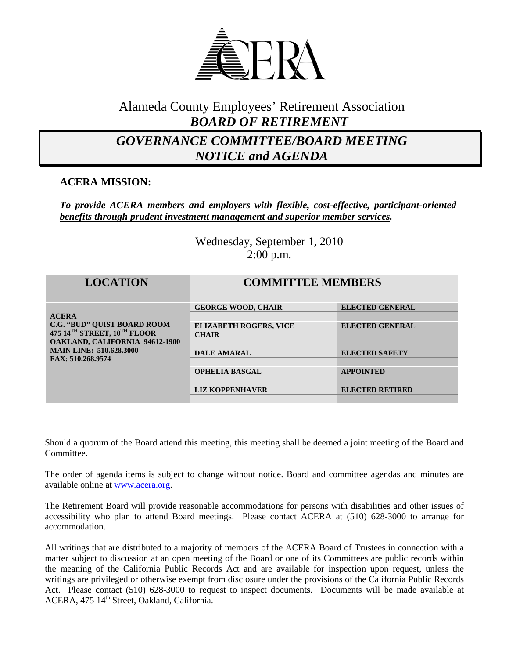

# Alameda County Employees' Retirement Association *BOARD OF RETIREMENT*

# *GOVERNANCE COMMITTEE/BOARD MEETING NOTICE and AGENDA*

## **ACERA MISSION:**

### *To provide ACERA members and employers with flexible, cost-effective, participant-oriented benefits through prudent investment management and superior member services.*

Wednesday, September 1, 2010 2:00 p.m.

| <b>LOCATION</b>                                                                                                                                                                   | <b>COMMITTEE MEMBERS</b>                      |                        |
|-----------------------------------------------------------------------------------------------------------------------------------------------------------------------------------|-----------------------------------------------|------------------------|
| <b>ACERA</b><br><b>C.G. "BUD" QUIST BOARD ROOM</b><br>475 14TH STREET, 10TH FLOOR<br><b>OAKLAND, CALIFORNIA 94612-1900</b><br><b>MAIN LINE: 510.628.3000</b><br>FAX: 510.268.9574 | <b>GEORGE WOOD, CHAIR</b>                     | <b>ELECTED GENERAL</b> |
|                                                                                                                                                                                   | <b>ELIZABETH ROGERS, VICE</b><br><b>CHAIR</b> | <b>ELECTED GENERAL</b> |
|                                                                                                                                                                                   | <b>DALE AMARAL</b>                            | <b>ELECTED SAFETY</b>  |
|                                                                                                                                                                                   |                                               |                        |
|                                                                                                                                                                                   | <b>OPHELIA BASGAL</b>                         | <b>APPOINTED</b>       |
|                                                                                                                                                                                   | <b>LIZ KOPPENHAVER</b>                        | <b>ELECTED RETIRED</b> |
|                                                                                                                                                                                   |                                               |                        |

Should a quorum of the Board attend this meeting, this meeting shall be deemed a joint meeting of the Board and Committee.

The order of agenda items is subject to change without notice. Board and committee agendas and minutes are available online at [www.acera.org.](http://www.acera.org/)

The Retirement Board will provide reasonable accommodations for persons with disabilities and other issues of accessibility who plan to attend Board meetings. Please contact ACERA at (510) 628-3000 to arrange for accommodation.

All writings that are distributed to a majority of members of the ACERA Board of Trustees in connection with a matter subject to discussion at an open meeting of the Board or one of its Committees are public records within the meaning of the California Public Records Act and are available for inspection upon request, unless the writings are privileged or otherwise exempt from disclosure under the provisions of the California Public Records Act. Please contact (510) 628-3000 to request to inspect documents. Documents will be made available at ACERA, 475 14<sup>th</sup> Street, Oakland, California.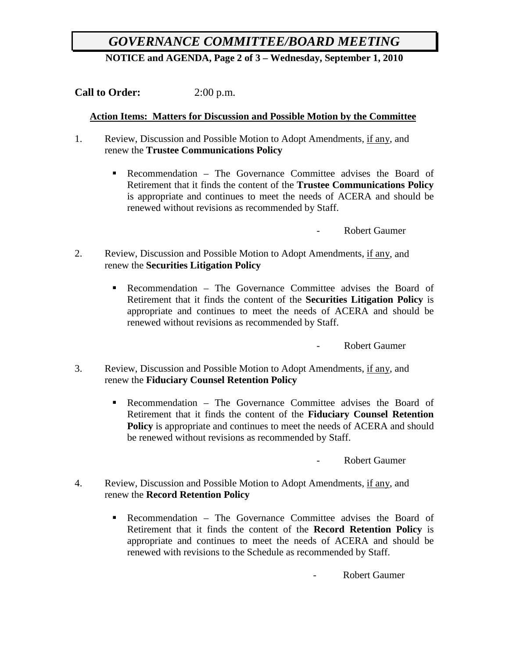# *GOVERNANCE COMMITTEE/BOARD MEETING*

**NOTICE and AGENDA, Page 2 of 3 – Wednesday, September 1, 2010**

**Call to Order:** 2:00 p.m.

### **Action Items: Matters for Discussion and Possible Motion by the Committee**

- 1. Review, Discussion and Possible Motion to Adopt Amendments, if any, and renew the **Trustee Communications Policy**
	- **Recommendation The Governance Committee advises the Board of** Retirement that it finds the content of the **Trustee Communications Policy** is appropriate and continues to meet the needs of ACERA and should be renewed without revisions as recommended by Staff.

- Robert Gaumer

- 2. Review, Discussion and Possible Motion to Adopt Amendments, if any, and renew the **Securities Litigation Policy**
	- Recommendation The Governance Committee advises the Board of Retirement that it finds the content of the **Securities Litigation Policy** is appropriate and continues to meet the needs of ACERA and should be renewed without revisions as recommended by Staff.

- Robert Gaumer

- 3. Review, Discussion and Possible Motion to Adopt Amendments, if any, and renew the **Fiduciary Counsel Retention Policy**
	- Recommendation The Governance Committee advises the Board of Retirement that it finds the content of the **Fiduciary Counsel Retention Policy** is appropriate and continues to meet the needs of ACERA and should be renewed without revisions as recommended by Staff.

Robert Gaumer

- 4. Review, Discussion and Possible Motion to Adopt Amendments, if any, and renew the **Record Retention Policy**
	- Recommendation The Governance Committee advises the Board of Retirement that it finds the content of the **Record Retention Policy** is appropriate and continues to meet the needs of ACERA and should be renewed with revisions to the Schedule as recommended by Staff.

Robert Gaumer